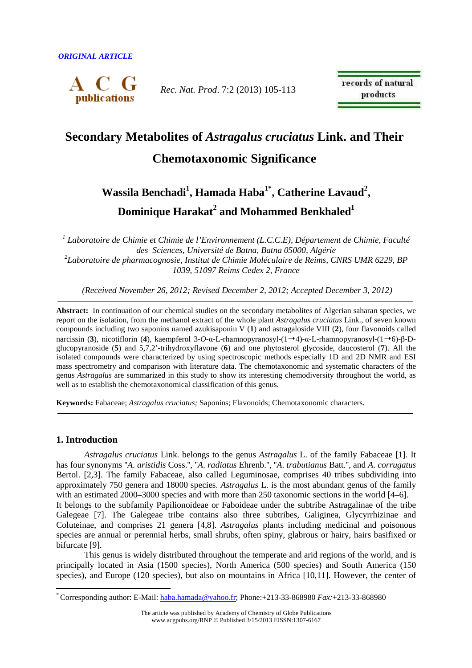

*Rec. Nat. Prod*. 7:2 (2013) 105-113

records of natural products

# **Secondary Metabolites of** *Astragalus cruciatus* **Link. and Their**

### **Chemotaxonomic Significance**

## **Wassila Benchadi<sup>1</sup> , Hamada Haba1\*, Catherine Lavaud<sup>2</sup> , Dominique Harakat<sup>2</sup> and Mohammed Benkhaled<sup>1</sup>**

<sup>1</sup> Laboratoire de Chimie et Chimie de l'Environnement (L.C.C.E), Département de Chimie, Faculté *des Sciences, Université de Batna, Batna 05000, Algérie 2 Laboratoire de pharmacognosie, Institut de Chimie Moléculaire de Reims, CNRS UMR 6229, BP 1039, 51097 Reims Cedex 2, France* 

 *(Received November 26, 2012; Revised December 2, 2012; Accepted December 3, 2012)* 

**Abstract:** In continuation of our chemical studies on the secondary metabolites of Algerian saharan species, we report on the isolation, from the methanol extract of the whole plant *Astragalus cruciatus* Link., of seven known compounds including two saponins named azukisaponin V (**1**) and astragaloside VIII (**2**), four flavonoids called narcissin (**3**), nicotiflorin (**4**), kaempferol 3-*O*-α-L-rhamnopyranosyl-(14)-α-L-rhamnopyranosyl-(16)-β-Dglucopyranoside (**5**) and 5,7,2'-trihydroxyflavone (**6**) and one phytosterol glycoside, daucosterol (**7**). All the isolated compounds were characterized by using spectroscopic methods especially 1D and 2D NMR and ESI mass spectrometry and comparison with literature data. The chemotaxonomic and systematic characters of the genus *Astragalus* are summarized in this study to show its interesting chemodiversity throughout the world, as well as to establish the chemotaxonomical classification of this genus.

**Keywords:** Fabaceae; *Astragalus cruciatus;* Saponins; Flavonoids; Chemotaxonomic characters.

#### **1. Introduction**

 $\overline{a}$ 

*Astragalus cruciatus* Link. belongs to the genus *Astragalus* L. of the family Fabaceae [1]. It has four synonyms ''*A*. *aristidis* Coss.'', ''*A*. *radiatus* Ehrenb.'', ''*A*. *trabutianus* Batt.'', and *A*. *corrugatus* Bertol. [2,3]. The family Fabaceae, also called Leguminosae, comprises 40 tribes subdividing into approximately 750 genera and 18000 species. *Astragalus* L. is the most abundant genus of the family with an estimated 2000–3000 species and with more than 250 taxonomic sections in the world [4–6]. It belongs to the subfamily Papilionoideae or Faboideae under the subtribe Astragalinae of the tribe Galegeae [7]. The Galegeae tribe contains also three subtribes, Galiginea, Glycyrrhizinae and Coluteinae, and comprises 21 genera [4,8]. *Astragalus* plants including medicinal and poisonous species are annual or perennial herbs, small shrubs, often spiny, glabrous or hairy, hairs basifixed or bifurcate [9].

This genus is widely distributed throughout the temperate and arid regions of the world, and is principally located in Asia (1500 species), North America (500 species) and South America (150 species), and Europe (120 species), but also on mountains in Africa [10,11]. However, the center of

<sup>\*</sup> Corresponding author: E-Mail: haba.hamada@yahoo.fr; Phone:+213-33-868980 *Fax:*+213-33-868980

The article was published by Academy of Chemistry of Globe Publications www.acgpubs.org/RNP © Published 3/15/2013 EISSN:1307-6167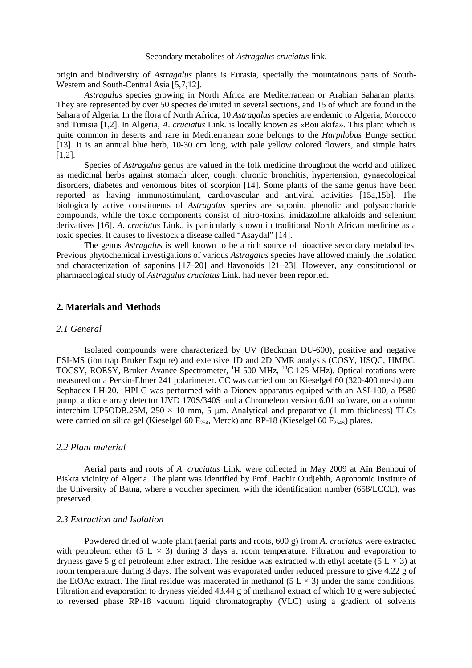origin and biodiversity of *Astragalus* plants is Eurasia, specially the mountainous parts of South-Western and South-Central Asia [5,7,12].

*Astragalus* species growing in North Africa are Mediterranean or Arabian Saharan plants. They are represented by over 50 species delimited in several sections, and 15 of which are found in the Sahara of Algeria. In the flora of North Africa, 10 *Astragalus* species are endemic to Algeria, Morocco and Tunisia [1,2]. In Algeria, *A*. *cruciatus* Link. is locally known as «Bou akifa». This plant which is quite common in deserts and rare in Mediterranean zone belongs to the *Harpilobus* Bunge section [13]. It is an annual blue herb, 10-30 cm long, with pale yellow colored flowers, and simple hairs [1,2].

Species of *Astragalus* genus are valued in the folk medicine throughout the world and utilized as medicinal herbs against stomach ulcer, cough, chronic bronchitis, hypertension, gynaecological disorders, diabetes and venomous bites of scorpion [14]. Some plants of the same genus have been reported as having immunostimulant, cardiovascular and antiviral activities [15a,15b]. The biologically active constituents of *Astragalus* species are saponin, phenolic and polysaccharide compounds, while the toxic components consist of nitro-toxins, imidazoline alkaloids and selenium derivatives [16]. *A. cruciatus* Link., is particularly known in traditional North African medicine as a toxic species. It causes to livestock a disease called "Asaydal" [14].

 The genus *Astragalus* is well known to be a rich source of bioactive secondary metabolites. Previous phytochemical investigations of various *Astragalus* species have allowed mainly the isolation and characterization of saponins [17–20] and flavonoids [21–23]. However, any constitutional or pharmacological study of *Astragalus cruciatus* Link. had never been reported.

#### **2. Materials and Methods**

#### *2.1 General*

Isolated compounds were characterized by UV (Beckman DU-600), positive and negative ESI-MS (ion trap Bruker Esquire) and extensive 1D and 2D NMR analysis (COSY, HSQC, HMBC, TOCSY, ROESY, Bruker Avance Spectrometer, <sup>1</sup>H 500 MHz, <sup>13</sup>C 125 MHz). Optical rotations were measured on a Perkin-Elmer 241 polarimeter. CC was carried out on Kieselgel 60 (320-400 mesh) and Sephadex LH-20. HPLC was performed with a Dionex apparatus equiped with an ASI-100, a P580 pump, a diode array detector UVD 170S/340S and a Chromeleon version 6.01 software, on a column interchim UP5ODB.25M,  $250 \times 10$  mm, 5 µm. Analytical and preparative (1 mm thickness) TLCs were carried on silica gel (Kieselgel 60  $F_{254}$ , Merck) and RP-18 (Kieselgel 60  $F_{254S}$ ) plates.

#### *2.2 Plant material*

Aerial parts and roots of *A*. *cruciatus* Link. were collected in May 2009 at Aïn Bennoui of Biskra vicinity of Algeria. The plant was identified by Prof. Bachir Oudjehih, Agronomic Institute of the University of Batna, where a voucher specimen, with the identification number (658/LCCE), was preserved.

#### *2.3 Extraction and Isolation*

 Powdered dried of whole plant (aerial parts and roots, 600 g) from *A*. *cruciatus* were extracted with petroleum ether (5 L  $\times$  3) during 3 days at room temperature. Filtration and evaporation to dryness gave 5 g of petroleum ether extract. The residue was extracted with ethyl acetate (5 L  $\times$  3) at room temperature during 3 days. The solvent was evaporated under reduced pressure to give 4.22 g of the EtOAc extract. The final residue was macerated in methanol  $(5 L \times 3)$  under the same conditions. Filtration and evaporation to dryness yielded 43.44 g of methanol extract of which 10 g were subjected to reversed phase RP-18 vacuum liquid chromatography (VLC) using a gradient of solvents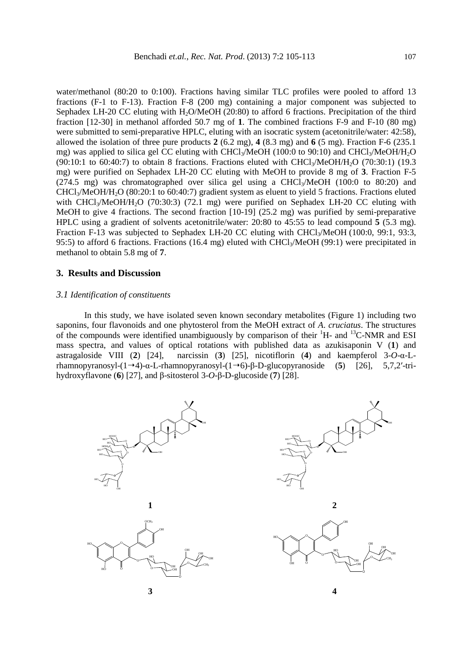water/methanol (80:20 to 0:100). Fractions having similar TLC profiles were pooled to afford 13 fractions (F-1 to F-13). Fraction F-8 (200 mg) containing a major component was subjected to Sephadex LH-20 CC eluting with H<sub>2</sub>O/MeOH (20:80) to afford 6 fractions. Precipitation of the third fraction [12-30] in methanol afforded 50.7 mg of **1**. The combined fractions F-9 and F-10 (80 mg) were submitted to semi-preparative HPLC, eluting with an isocratic system (acetonitrile/water: 42:58), allowed the isolation of three pure products **2** (6.2 mg), **4** (8.3 mg) and **6** (5 mg). Fraction F-6 (235.1 mg) was applied to silica gel CC eluting with CHCl<sub>3</sub>/MeOH (100:0 to 90:10) and CHCl<sub>3</sub>/MeOH/H<sub>2</sub>O  $(90:10:1$  to  $60:40:7$ ) to obtain 8 fractions. Fractions eluted with CHCl<sub>3</sub>/MeOH/H<sub>2</sub>O (70:30:1) (19.3 mg) were purified on Sephadex LH-20 CC eluting with MeOH to provide 8 mg of **3**. Fraction F-5 (274.5 mg) was chromatographed over silica gel using a CHCl<sub>3</sub>/MeOH (100:0 to 80:20) and CHCl3/MeOH/H2O (80:20:1 to 60:40:7) gradient system as eluent to yield 5 fractions. Fractions eluted with  $CHCl<sub>3</sub>/MeOH/H<sub>2</sub>O$  (70:30:3) (72.1 mg) were purified on Sephadex LH-20 CC eluting with MeOH to give 4 fractions. The second fraction [10-19] (25.2 mg) was purified by semi-preparative HPLC using a gradient of solvents acetonitrile/water: 20:80 to 45:55 to lead compound **5** (5.3 mg). Fraction F-13 was subjected to Sephadex LH-20 CC eluting with CHCl<sub>3</sub>/MeOH (100:0, 99:1, 93:3, 95:5) to afford 6 fractions. Fractions (16.4 mg) eluted with  $CHCl<sub>3</sub>/MeOH$  (99:1) were precipitated in methanol to obtain 5.8 mg of **7**.

#### **3. Results and Discussion**

#### *3.1 Identification of constituents*

In this study, we have isolated seven known secondary metabolites (Figure 1) including two saponins, four flavonoids and one phytosterol from the MeOH extract of *A*. *cruciatus*. The structures of the compounds were identified unambiguously by comparison of their  ${}^{1}H$ - and  ${}^{13}C$ -NMR and ESI mass spectra, and values of optical rotations with published data as azukisaponin V (**1**) and astragaloside VIII (**2**) [24], narcissin (**3**) [25], nicotiflorin (**4**) and kaempferol 3-*O*-α-Lrhamnopyranosyl-(14)-α-L-rhamnopyranosyl-(16)-β-D-glucopyranoside (**5**) [26], 5,7,2′-trihydroxyflavone (**6**) [27], and β-sitosterol 3-*O*-β-D-glucoside (**7**) [28].

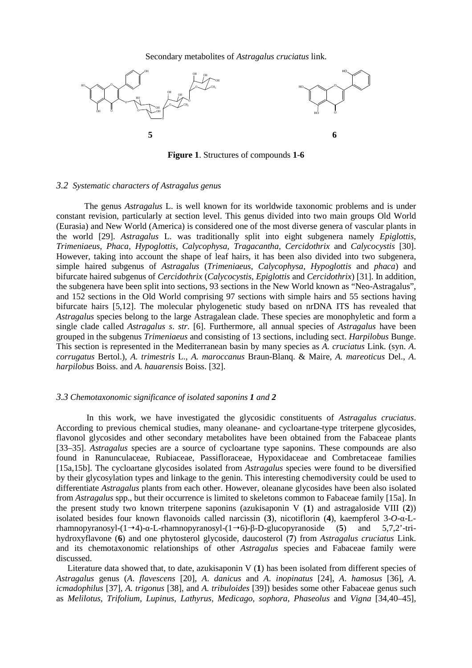#### Secondary metabolites of *Astragalus cruciatus* link.



**Figure 1**. Structures of compounds **1**-**6** 

#### *3.2 Systematic characters of Astragalus genus*

The genus *Astragalus* L. is well known for its worldwide taxonomic problems and is under constant revision, particularly at section level. This genus divided into two main groups Old World (Eurasia) and New World (America) is considered one of the most diverse genera of vascular plants in the world [29]. *Astragalus* L. was traditionally split into eight subgenera namely *Epiglottis*, *Trimeniaeus*, *Phaca*, *Hypoglottis*, *Calycophysa*, *Tragacantha*, *Cercidothrix* and *Calycocystis* [30]. However, taking into account the shape of leaf hairs, it has been also divided into two subgenera, simple haired subgenus of *Astragalus* (*Trimeniaeus*, *Calycophysa*, *Hypoglottis* and *phaca*) and bifurcate haired subgenus of *Cercidothrix* (*Calycocystis*, *Epiglottis* and *Cercidothrix*) [31]. In addition, the subgenera have been split into sections, 93 sections in the New World known as "Neo-Astragalus", and 152 sections in the Old World comprising 97 sections with simple hairs and 55 sections having bifurcate hairs [5,12]. The molecular phylogenetic study based on nrDNA ITS has revealed that *Astragalus* species belong to the large Astragalean clade. These species are monophyletic and form a single clade called *Astragalus s*. *str*. [6]. Furthermore, all annual species of *Astragalus* have been grouped in the subgenus *Trimeniaeus* and consisting of 13 sections, including sect. *Harpilobus* Bunge. This section is represented in the Mediterranean basin by many species as *A. cruciatus* Link. (syn. *A*. *corrugatus* Bertol.)*, A. trimestris* L.*, A. maroccanus* Braun-Blanq. & Maire*, A. mareoticus* Del., *A*. *harpilobus* Boiss. and *A. hauarensis* Boiss. [32].

#### *3.3 Chemotaxonomic significance of isolated saponins 1 and 2*

In this work, we have investigated the glycosidic constituents of *Astragalus cruciatus*. According to previous chemical studies, many oleanane- and cycloartane-type triterpene glycosides, flavonol glycosides and other secondary metabolites have been obtained from the Fabaceae plants [33–35]. *Astragalus* species are a source of cycloartane type saponins. These compounds are also found in Ranunculaceae, Rubiaceae, Passifloraceae, Hypoxidaceae and Combretaceae families [15a,15b]. The cycloartane glycosides isolated from *Astragalus* species were found to be diversified by their glycosylation types and linkage to the genin. This interesting chemodiversity could be used to differentiate *Astragalus* plants from each other. However, oleanane glycosides have been also isolated from *Astragalus* spp., but their occurrence is limited to skeletons common to Fabaceae family [15a]. In the present study two known triterpene saponins (azukisaponin V (**1**) and astragaloside VIII (**2**)) isolated besides four known flavonoids called narcissin (**3**), nicotiflorin (**4**), kaempferol 3-*O*-α-Lrhamnopyranosyl-(14)-α-L-rhamnopyranosyl-(16)-β-D-glucopyranoside (**5**) and 5,7,2'-trihydroxyflavone (**6**) and one phytosterol glycoside, daucosterol (**7**) from *Astragalus cruciatus* Link. and its chemotaxonomic relationships of other *Astragalus* species and Fabaceae family were discussed.

Literature data showed that, to date, azukisaponin V (**1**) has been isolated from different species of *Astragalus* genus (*A*. *flavescens* [20], *A*. *danicus* and *A*. *inopinatus* [24], *A*. *hamosus* [36], *A*. *icmadophilus* [37], *A. trigonus* [38], and *A. tribuloides* [39]) besides some other Fabaceae genus such as *Melilotus, Trifolium, Lupinus, Lathyrus, Medicago, sophora, Phaseolus* and *Vigna* [34,40–45],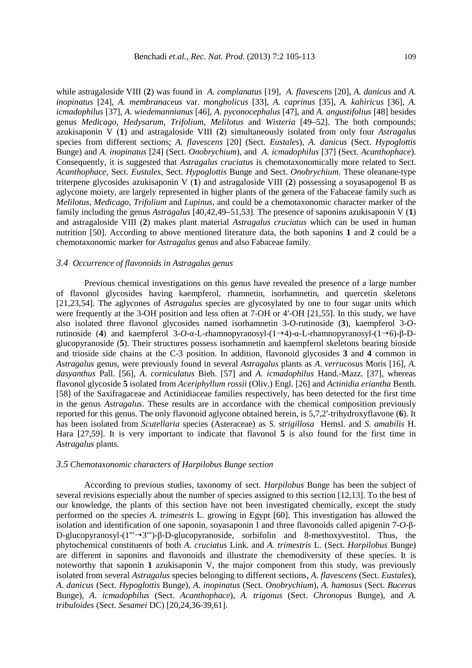while astragaloside VIII (**2**) was found in *A. complanatus* [19], *A. flavescens* [20], *A. danicus* and *A. inopinatus* [24], *A. membranaceus* var. *mongholicus* [33], *A. caprinus* [35], *A. kahiricus* [36], *A. icmadophilus* [37], *A. wiedemannianus* [46], *A. pyconocephalus* [47], and *A. angustifolius* [48] besides genus *Medicago*, *Hedysarum*, *Trifolium*, *Melilotus* and *Wisteria* [49–52]. The both compounds; azukisaponin V (**1**) and astragaloside VIII (**2**) simultaneously isolated from only four *Astragalus* species from different sections; *A. flavescens* [20] (Sect. *Eustales*)*, A. danicus* (Sect. *Hypoglottis*  Bunge) and *A. inopinatus* [24] (Sect. *Onobrychium*), and *A. icmadophilus* [37] (Sect. *Acanthophace*)*.* Consequently, it is suggested that *Astragalus cruciatus* is chemotaxonomically more related to Sect. *Acanthophace*, Sect. *Eustales*, Sect. *Hypoglottis* Bunge and Sect. *Onobrychium*. These oleanane-type triterpene glycosides azukisaponin V (**1**) and astragaloside VIII (**2**) possessing a soyasapogenol B as aglycone moiety, are largely represented in higher plants of the genera of the Fabaceae family such as *Melilotus*, *Medicago*, *Trifolium* and *Lupinus*, and could be a chemotaxonomic character marker of the family including the genus *Astragalus* [40,42,49–51,53]. The presence of saponins azukisaponin V (**1**) and astragaloside VIII (**2**) makes plant material *Astragalus cruciatus* which can be used in human nutrition [50]. According to above mentioned literature data, the both saponins **1** and **2** could be a chemotaxonomic marker for *Astragalus* genus and also Fabaceae family.

#### *3.4 Occurrence of flavonoids in Astragalus genus*

Previous chemical investigations on this genus have revealed the presence of a large number of flavonol glycosides having kaempferol, rhamnetin, isorhamnetin, and quercetin skeletons [21,23,54]. The aglycones of *Astragalus* species are glycosylated by one to four sugar units which were frequently at the 3-OH position and less often at 7-OH or 4'-OH [21,55]. In this study, we have also isolated three flavonol glycosides named isorhamnetin 3-*O*-rutinoside (**3**), kaempferol 3-*O*rutinoside (**4**) and kaempferol 3-*O*-α-L-rhamnopyranosyl-(14)-α-L-rhamnopyranosyl-(16)-β-Dglucopyranoside (**5**). Their structures possess isorhamnetin and kaempferol skeletons bearing bioside and trioside side chains at the C-3 position. In addition, flavonoid glycosides **3** and **4** common in *Astragalus* genus, were previously found in several *Astragalus* plants as *A*. *verrucosus* Moris [16], *A*. *dasyanthus* Pall. [56], *A*. *corniculatus* Bieb. [57] and *A*. *icmadophilus* Hand.-Mazz. [37], whereas flavonol glycoside **5** isolated from *Aceriphyllum rossii* (Oliv.) Engl. [26] and *Actinidia eriantha* Benth. [58] of the Saxifragaceae and Actinidiaceae families respectively, has been detected for the first time in the genus *Astragalus*. These results are in accordance with the chemical composition previously reported for this genus. The only flavonoid aglycone obtained herein, is 5,7,2′-trihydroxyflavone (**6**). It has been isolated from *Scutellaria* species (Asteraceae) as *S*. *strigillosa* Hemsl. and *S*. *amabilis* H. Hara [27,59]. It is very important to indicate that flavonol **5** is also found for the first time in *Astragalus* plants.

#### *3.5 Chemotaxonomic characters of Harpilobus Bunge section*

According to previous studies, taxonomy of sect. *Harpilobus* Bunge has been the subject of several revisions especially about the number of species assigned to this section [12,13]. To the best of our knowledge, the plants of this section have not been investigated chemically, except the study performed on the species *A. trimestris* L. growing in Egypt [60]. This investigation has allowed the isolation and identification of one saponin, soyasaponin I and three flavonoids called apigenin 7-*O*-β-D-glucopyranosyl-(1'"3'")-β-D-glucopyranoside, sorbifolin and 8-methoxyvestitol. Thus, the phytochemical constituents of both *A. cruciatus* Link. and *A. trimestris* L. (Sect. *Harpilobus* Bunge) are different in saponins and flavonoids and illustrate the chemodiversity of these species. It is noteworthy that saponin **1** azukisaponin V, the major component from this study, was previously isolated from several *Astragalus* species belonging to different sections, *A*. *flavescens* (Sect. *Eustales*), *A*. *danicus* (Sect. *Hypoglottis* Bunge), *A*. *inopinatus* (Sect. *Onobrychium*), *A*. *hamosus* (Sect. *Buceras*  Bunge), *A*. *icmadophilus* (Sect. *Acanthophace*), *A. trigonus* (Sect. *Chronopus* Bunge), and *A. tribuloides* (Sect. *Sesamei* DC) [20,24,36-39,61].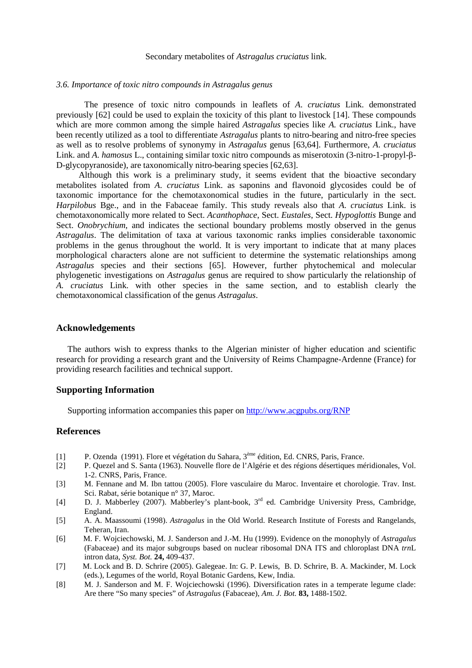#### Secondary metabolites of *Astragalus cruciatus* link.

#### *3.6. Importance of toxic nitro compounds in Astragalus genus*

The presence of toxic nitro compounds in leaflets of *A*. *cruciatus* Link. demonstrated previously [62] could be used to explain the toxicity of this plant to livestock [14]. These compounds which are more common among the simple haired *Astragalus* species like *A. cruciatus* Link., have been recently utilized as a tool to differentiate *Astragalus* plants to nitro-bearing and nitro-free species as well as to resolve problems of synonymy in *Astragalus* genus [63,64]. Furthermore, *A*. *cruciatus* Link. and *A*. *hamosus* L., containing similar toxic nitro compounds as miserotoxin (3-nitro-1-propyl-β-D-glycopyranoside), are taxonomically nitro-bearing species [62,63].

Although this work is a preliminary study, it seems evident that the bioactive secondary metabolites isolated from *A*. *cruciatus* Link. as saponins and flavonoid glycosides could be of taxonomic importance for the chemotaxonomical studies in the future, particularly in the sect. *Harpilobus* Bge., and in the Fabaceae family. This study reveals also that *A*. *cruciatus* Link. is chemotaxonomically more related to Sect. *Acanthophace*, Sect. *Eustales*, Sect. *Hypoglottis* Bunge and Sect. *Onobrychium*, and indicates the sectional boundary problems mostly observed in the genus *Astragalus*. The delimitation of taxa at various taxonomic ranks implies considerable taxonomic problems in the genus throughout the world. It is very important to indicate that at many places morphological characters alone are not sufficient to determine the systematic relationships among *Astragalus* species and their sections [65]. However, further phytochemical and molecular phylogenetic investigations on *Astragalus* genus are required to show particularly the relationship of *A. cruciatus* Link. with other species in the same section, and to establish clearly the chemotaxonomical classification of the genus *Astragalus*.

#### **Acknowledgements**

The authors wish to express thanks to the Algerian minister of higher education and scientific research for providing a research grant and the University of Reims Champagne-Ardenne (France) for providing research facilities and technical support.

#### **Supporting Information**

Supporting information accompanies this paper on http://www.acgpubs.org/RNP

#### **References**

- [1] P. Ozenda (1991). Flore et végétation du Sahara, 3<sup>ème</sup> édition, Ed. CNRS, Paris, France.<br>[2] P. Quezel and S. Santa (1963). Nouvelle flore de l'Algérie et des régions désertiques mé
- [2] P. Quezel and S. Santa (1963). Nouvelle flore de l'Algérie et des régions désertiques méridionales, Vol. 1-2. CNRS, Paris, France.
- [3] M. Fennane and M. Ibn tattou (2005). Flore vasculaire du Maroc. Inventaire et chorologie. Trav. Inst. Sci. Rabat, série botanique n° 37, Maroc.
- [4] D. J. Mabberley (2007). Mabberley's plant-book, 3<sup>rd</sup> ed. Cambridge University Press, Cambridge, England.
- [5] A. A. Maassoumi (1998). *Astragalus* in the Old World. Research Institute of Forests and Rangelands, Teheran, Iran.
- [6] M. F. Wojciechowski, M. J. Sanderson and J.-M. Hu (1999). Evidence on the monophyly of *Astragalus* (Fabaceae) and its major subgroups based on nuclear ribosomal DNA ITS and chloroplast DNA *trn*L intron data, *Syst. Bot.* **24,** 409-437.
- [7] M. Lock and B. D. Schrire (2005). Galegeae. In: G. P. Lewis, B. D. Schrire, B. A. Mackinder, M. Lock (eds.), Legumes of the world, Royal Botanic Gardens, Kew, India.
- [8] M. J. Sanderson and M. F. Wojciechowski (1996). Diversification rates in a temperate legume clade: Are there "So many species" of *Astragalus* (Fabaceae), *Am. J. Bot.* **83,** 1488-1502.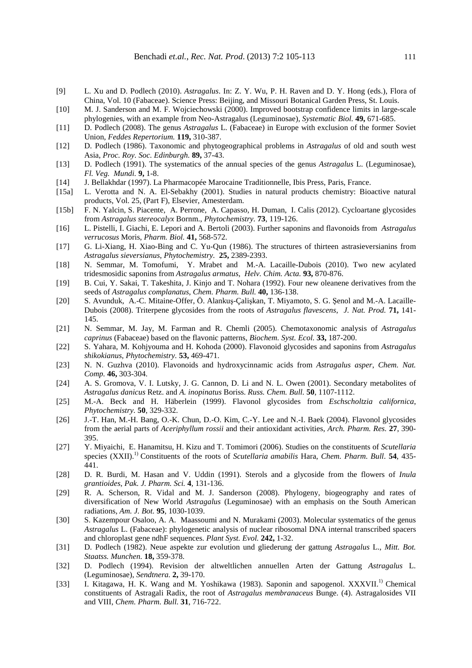- [9] L. Xu and D. Podlech (2010). *Astragalus*. In: Z. Y. Wu, P. H. Raven and D. Y. Hong (eds.), Flora of China, Vol. 10 (Fabaceae). Science Press: Beijing, and Missouri Botanical Garden Press, St. Louis.
- [10] M. J. Sanderson and M. F. Wojciechowski (2000). Improved bootstrap confidence limits in large-scale phylogenies, with an example from Neo-Astragalus (Leguminosae), *Systematic Biol.* **49,** 671-685.
- [11] D. Podlech (2008). The genus *Astragalus* L. (Fabaceae) in Europe with exclusion of the former Soviet Union, *Feddes Repertorium.* **119,** 310-387.
- [12] D. Podlech (1986). Taxonomic and phytogeographical problems in *Astragalus* of old and south west Asia, *Proc. Roy. Soc. Edinburgh.* **89,** 37-43.
- [13] D. Podlech (1991). The systematics of the annual species of the genus *Astragalus* L. (Leguminosae), *Fl. Veg. Mundi.* **9,** 1-8.
- [14] J. Bellakhdar (1997). La Pharmacopée Marocaine Traditionnelle, Ibis Press, Paris, France.
- [15a] L. Verotta and N. A. El-Sebakhy (2001). Studies in natural products chemistry: Bioactive natural products, Vol. 25, (Part F), Elsevier, Amesterdam.
- [15b] F. N. Yalcin, S. Piacente, A. Perrone, A. Capasso, H. Duman, I. Calis (2012). Cycloartane glycosides from *Astragalus stereocalyx* Bornm., *Phytochemistry.* **73**, 119-126.
- [16] L. Pistelli, I. Giachi, E. Lepori and A. Bertoli (2003). Further saponins and flavonoids from *Astragalus verrucosus* Moris, *Pharm. Biol.* **41,** 568-572.
- [17] G. Li-Xiang, H. Xiao-Bing and C. Yu-Qun (1986). The structures of thirteen astrasieversianins from *Astragalus sieversianus*, *Phytochemistry.* **25,** 2389-2393.
- [18] N. Semmar, M. Tomofumi, Y. Mrabet and M.-A. Lacaille-Dubois (2010). Two new acylated tridesmosidic saponins from *Astragalus armatus*, *Helv. Chim. Acta.* **93,** 870-876.
- [19] B. Cui, Y. Sakai, T. Takeshita, J. Kinjo and T. Nohara (1992). Four new oleanene derivatives from the seeds of *Astragalus complanatus*, *Chem. Pharm. Bull.* **40,** 136-138.
- [20] S. Avunduk, A.-C. Mitaine-Offer, Ö. Alankuş-Çalişkan, T. Miyamoto, S. G. Şenol and M.-A. Lacaille-Dubois (2008). Triterpene glycosides from the roots of *Astragalus flavescens*, *J. Nat. Prod.* **71,** 141- 145.
- [21] N. Semmar, M. Jay, M. Farman and R. Chemli (2005). Chemotaxonomic analysis of *Astragalus caprinus* (Fabaceae) based on the flavonic patterns, *Biochem. Syst. Ecol.* **33,** 187-200.
- [22] S. Yahara, M. Kohjyouma and H. Kohoda (2000). Flavonoid glycosides and saponins from *Astragalus shikokianus*, *Phytochemistry.* **53,** 469-471.
- [23] N. N. Guzhva (2010). Flavonoids and hydroxycinnamic acids from *Astragalus asper*, *Chem. Nat. Comp.* **46,** 303-304.
- [24] A. S. Gromova, V. I. Lutsky, J. G. Cannon, D. Li and N. L. Owen (2001). Secondary metabolites of *Astragalus danicus* Retz. and *A. inopinatus* Boriss. *Russ. Chem. Bull.* **50**, 1107-1112.
- [25] M.-A. Beck and H. Häberlein (1999). Flavonol glycosides from *Eschscholtzia californica*, *Phytochemistry.* **50**, 329-332.
- [26] J.-T. Han, M.-H. Bang, O.-K. Chun, D.-O. Kim, C.-Y. Lee and N.-I. Baek (2004). Flavonol glycosides from the aerial parts of *Aceriphyllum rossii* and their antioxidant activities, *Arch. Pharm. Res.* **27**, 390- 395.
- [27] Y. Miyaichi, E. Hanamitsu, H. Kizu and T. Tomimori (2006). Studies on the constituents of *Scutellaria* species (XXII).1) Constituents of the roots of *Scutellaria amabilis* Hara, *Chem. Pharm. Bull*. **54**, 435- 441.
- [28] D. R. Burdi, M. Hasan and V. Uddin (1991). Sterols and a glycoside from the flowers of *Inula grantioides*, *Pak. J. Pharm. Sci.* **4**, 131-136.
- [29] R. A. Scherson, R. Vidal and M. J. Sanderson (2008). Phylogeny, biogeography and rates of diversification of New World *Astragalus* (Leguminosae) with an emphasis on the South American radiations, *Am. J. Bot.* **95**, 1030-1039.
- [30] S. Kazempour Osaloo, A. A. Maassoumi and N. Murakami (2003). Molecular systematics of the genus *Astragalus* L. (Fabaceae): phylogenetic analysis of nuclear ribosomal DNA internal transcribed spacers and chloroplast gene ndhF sequences. *Plant Syst. Evol.* **242,** 1-32.
- [31] D. Podlech (1982). Neue aspekte zur evolution und gliederung der gattung *Astragalus* L., *Mitt. Bot. Staatss. Munchen.* **18,** 359-378.
- [32] D. Podlech (1994). Revision der altweltlichen annuellen Arten der Gattung *Astragalus* L. (Leguminosae), *Sendtnera.* **2,** 39-170.
- [33] I. Kitagawa, H. K. Wang and M. Yoshikawa (1983). Saponin and sapogenol. XXXVII.<sup>1)</sup> Chemical constituents of Astragali Radix, the root of *Astragalus membranaceus* Bunge. (4). Astragalosides VII and VIII, *Chem. Pharm. Bull.* **31**, 716-722.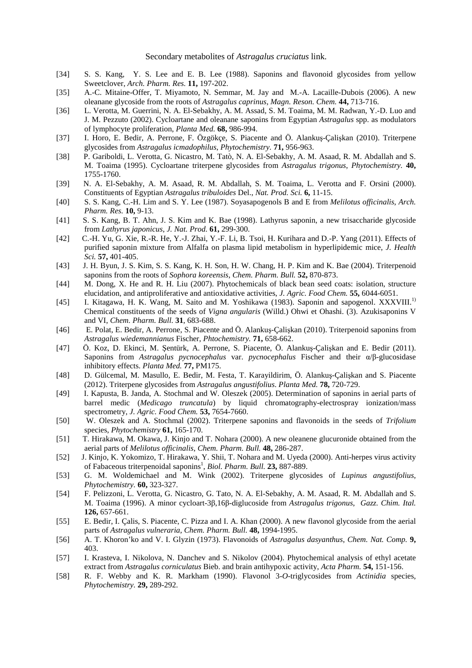- [34] S. S. Kang, Y. S. Lee and E. B. Lee (1988). Saponins and flavonoid glycosides from yellow Sweetclover, *Arch. Pharm. Res.* **11,** 197-202.
- [35] A.-C. Mitaine-Offer, T. Miyamoto, N. Semmar, M. Jay and M.-A. Lacaille-Dubois (2006). A new oleanane glycoside from the roots of *Astragalus caprinus*, *Magn. Reson. Chem.* **44,** 713-716.
- [36] L. Verotta, M. Guerrini, N. A. El-Sebakhy, A. M. Assad, S. M. Toaima, M. M. Radwan, Y.-D. Luo and J. M. Pezzuto (2002). Cycloartane and oleanane saponins from Egyptian *Astragalus* spp. as modulators of lymphocyte proliferation, *Planta Med.* **68,** 986-994.
- [37] I. Horo, E. Bedir, A. Perrone, F. Özgökçe, S. Piacente and Ö. Alankuş-Çalişkan (2010). Triterpene glycosides from *Astragalus icmadophilus*, *Phytochemistry.* **71,** 956-963.
- [38] P. Gariboldi, L. Verotta, G. Nicastro, M. Tatò, N. A. El-Sebakhy, A. M. Asaad, R. M. Abdallah and S. M. Toaima (1995). Cycloartane triterpene glycosides from *Astragalus trigonus*, *Phytochemistry.* **40,** 1755-1760.
- [39] N. A. El-Sebakhy, A. M. Asaad, R. M. Abdallah, S. M. Toaima, L. Verotta and F. Orsini (2000). Constituents of Egyptian *Astragalus tribuloides* Del., *Nat. Prod. Sci.* **6,** 11-15.
- [40] S. S. Kang, C.-H. Lim and S. Y. Lee (1987). Soyasapogenols B and E from *Melilotus officinalis*, *Arch. Pharm. Res.* **10,** 9-13.
- [41] S. S. Kang, B. T. Ahn, J. S. Kim and K. Bae (1998). Lathyrus saponin, a new trisaccharide glycoside from *Lathyrus japonicus*, *J. Nat. Prod.* **61,** 299-300.
- [42] C.-H. Yu, G. Xie, R.-R. He, Y.-J. Zhai, Y.-F. Li, B. Tsoi, H. Kurihara and D.-P. Yang (2011). Effects of purified saponin mixture from Alfalfa on plasma lipid metabolism in hyperlipidemic mice, *J. Health Sci.* **57,** 401-405.
- [43] J. H. Byun, J. S. Kim, S. S. Kang, K. H. Son, H. W. Chang, H. P. Kim and K. Bae (2004). Triterpenoid saponins from the roots of *Sophora koreensis*, *Chem. Pharm. Bull.* **52,** 870-873.
- [44] M. Dong, X. He and R. H. Liu (2007). Phytochemicals of black bean seed coats: isolation, structure elucidation, and antiproliferative and antioxidative activities, *J. Agric. Food Chem.* **55,** 6044-6051.
- [45] I. Kitagawa, H. K. Wang, M. Saito and M. Yoshikawa (1983). Saponin and sapogenol. XXXVIII.1) Chemical constituents of the seeds of *Vigna angularis* (Willd.) Ohwi et Ohashi. (3). Azukisaponins V and VI, *Chem. Pharm. Bull.* **31**, 683-688.
- [46] E. Polat, E. Bedir, A. Perrone, S. Piacente and Ö. Alankuş-Çalişkan (2010). Triterpenoid saponins from *Astragalus wiedemannianus* Fischer, *Phtochemistry.* **71,** 658-662.
- [47] Ö. Koz, D. Ekinci, M. Şentürk, A. Perrone, S. Piacente, Ö. Alankuş-Çalişkan and E. Bedir (2011). Saponins from *Astragalus pycnocephalus* var. *pycnocephalus* Fischer and their α/β-glucosidase inhibitory effects. *Planta Med.* **77,** PM175.
- [48] D. Gülcemal, M. Masullo, E. Bedir, M. Festa, T. Karayildirim, Ö. Alankuş-Çalişkan and S. Piacente (2012). Triterpene glycosides from *Astragalus angustifolius*. *Planta Med.* **78,** 720-729.
- [49] I. Kapusta, B. Janda, A. Stochmal and W. Oleszek (2005). Determination of saponins in aerial parts of barrel medic (*Medicago truncatula*) by liquid chromatography-electrospray ionization/mass spectrometry, *J. Agric. Food Chem.* **53,** 7654-7660.
- [50] W. Oleszek and A. Stochmal (2002). Triterpene saponins and flavonoids in the seeds of *Trifolium* species, *Phytochemistry* **61,** 165-170.
- [51] T. Hirakawa, M. Okawa, J. Kinjo and T. Nohara (2000). A new oleanene glucuronide obtained from the aerial parts of *Melilotus officinalis*, *Chem. Pharm. Bull.* **48,** 286-287.
- [52] J. Kinjo, K. Yokomizo, T. Hirakawa, Y. Shii, T. Nohara and M. Uyeda (2000). Anti-herpes virus activity of Fabaceous triterpenoidal saponins<sup>1</sup>, *Biol. Pharm. Bull.* **23,** 887-889.
- [53] G. M. Woldemichael and M. Wink (2002). Triterpene glycosides of *Lupinus angustifolius*, *Phytochemistry.* **60,** 323-327.
- [54] F. Pelizzoni, L. Verotta, G. Nicastro, G. Tato, N. A. El-Sebakhy, A. M. Asaad, R. M. Abdallah and S. M. Toaima (1996). A minor cycloart-3β,16β-diglucoside from *Astragalus trigonus*, *Gazz. Chim. Ital.* **126,** 657-661.
- [55] E. Bedir, I. Çalis, S. Piacente, C. Pizza and I. A. Khan (2000). A new flavonol glycoside from the aerial parts of *Astragalus vulneraria*, *Chem. Pharm. Bull.* **48,** 1994-1995.
- [56] A. T. Khoron'ko and V. I. Glyzin (1973). Flavonoids of *Astragalus dasyanthus*, *Chem. Nat. Comp.* **9,** 403.
- [57] I. Krasteva, I. Nikolova, N. Danchev and S. Nikolov (2004). Phytochemical analysis of ethyl acetate extract from *Astragalus corniculatus* Bieb. and brain antihypoxic activity, *Acta Pharm.* **54,** 151-156.
- [58] R. F. Webby and K. R. Markham (1990). Flavonol 3-*O*-triglycosides from *Actinidia* species, *Phytochemistry.* **29,** 289-292.